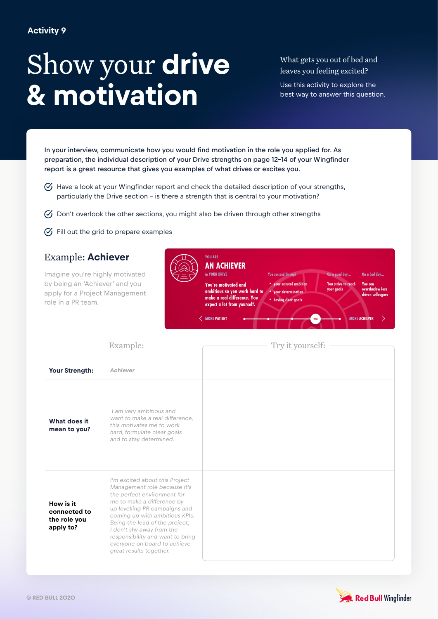## Show your **drive & motivation**

What gets you out of bed and leaves you feeling excited?

Use this activity to explore the best way to answer this question.

In your interview, communicate how you would find motivation in the role you applied for. As preparation, the individual description of your Drive strengths on page 12-14 of your Wingfinder report is a great resource that gives you examples of what drives or excites you.

- $\heartsuit$  Have a look at your Wingfinder report and check the detailed description of your strengths, particularly the Drive section – is there a strength that is central to your motivation?
- $\heartsuit$  Don't overlook the other sections, you might also be driven through other strengths
- $\heartsuit$  Fill out the grid to prepare examples

## Example: **Achiever**

**What does it mean to you?**

**How is it connected to the role you apply to?**

Imagine you're highly motivated by being an 'Achiever' and you apply for a Project Management role in a PR team.